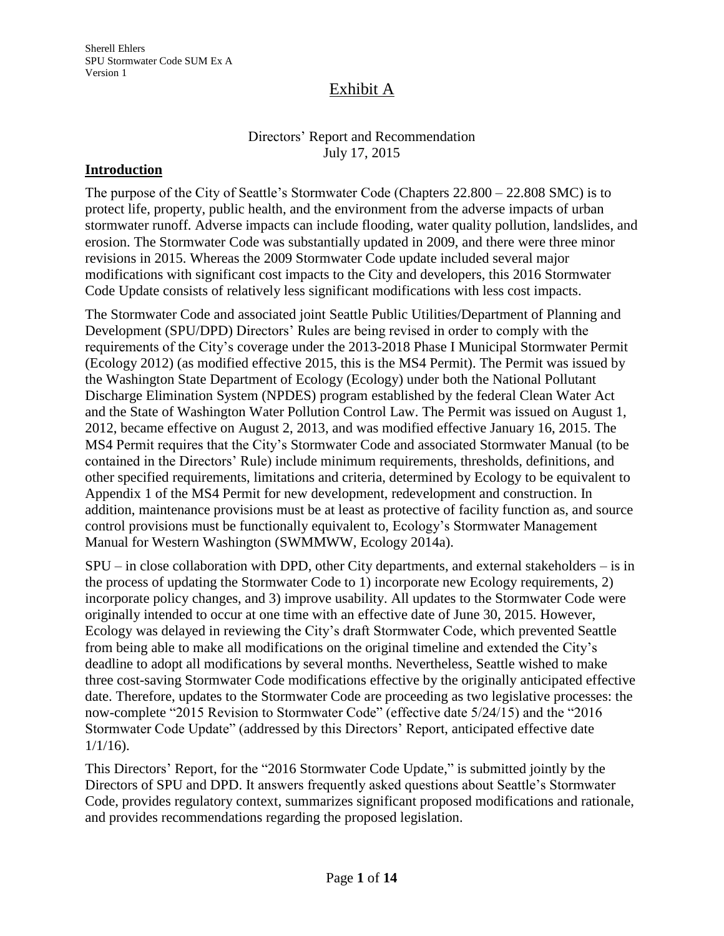### Directors' Report and Recommendation July 17, 2015

#### **Introduction**

The purpose of the City of Seattle's Stormwater Code (Chapters 22.800 – 22.808 SMC) is to protect life, property, public health, and the environment from the adverse impacts of urban stormwater runoff. Adverse impacts can include flooding, water quality pollution, landslides, and erosion. The Stormwater Code was substantially updated in 2009, and there were three minor revisions in 2015. Whereas the 2009 Stormwater Code update included several major modifications with significant cost impacts to the City and developers, this 2016 Stormwater Code Update consists of relatively less significant modifications with less cost impacts.

The Stormwater Code and associated joint Seattle Public Utilities/Department of Planning and Development (SPU/DPD) Directors' Rules are being revised in order to comply with the requirements of the City's coverage under the 2013-2018 Phase I Municipal Stormwater Permit (Ecology 2012) (as modified effective 2015, this is the MS4 Permit). The Permit was issued by the Washington State Department of Ecology (Ecology) under both the National Pollutant Discharge Elimination System (NPDES) program established by the federal Clean Water Act and the State of Washington Water Pollution Control Law. The Permit was issued on August 1, 2012, became effective on August 2, 2013, and was modified effective January 16, 2015. The MS4 Permit requires that the City's Stormwater Code and associated Stormwater Manual (to be contained in the Directors' Rule) include minimum requirements, thresholds, definitions, and other specified requirements, limitations and criteria, determined by Ecology to be equivalent to Appendix 1 of the MS4 Permit for new development, redevelopment and construction. In addition, maintenance provisions must be at least as protective of facility function as, and source control provisions must be functionally equivalent to, Ecology's Stormwater Management Manual for Western Washington (SWMMWW, Ecology 2014a).

SPU – in close collaboration with DPD, other City departments, and external stakeholders – is in the process of updating the Stormwater Code to 1) incorporate new Ecology requirements, 2) incorporate policy changes, and 3) improve usability. All updates to the Stormwater Code were originally intended to occur at one time with an effective date of June 30, 2015. However, Ecology was delayed in reviewing the City's draft Stormwater Code, which prevented Seattle from being able to make all modifications on the original timeline and extended the City's deadline to adopt all modifications by several months. Nevertheless, Seattle wished to make three cost-saving Stormwater Code modifications effective by the originally anticipated effective date. Therefore, updates to the Stormwater Code are proceeding as two legislative processes: the now-complete "2015 Revision to Stormwater Code" (effective date 5/24/15) and the "2016 Stormwater Code Update" (addressed by this Directors' Report, anticipated effective date  $1/1/16$ ).

This Directors' Report, for the "2016 Stormwater Code Update," is submitted jointly by the Directors of SPU and DPD. It answers frequently asked questions about Seattle's Stormwater Code, provides regulatory context, summarizes significant proposed modifications and rationale, and provides recommendations regarding the proposed legislation.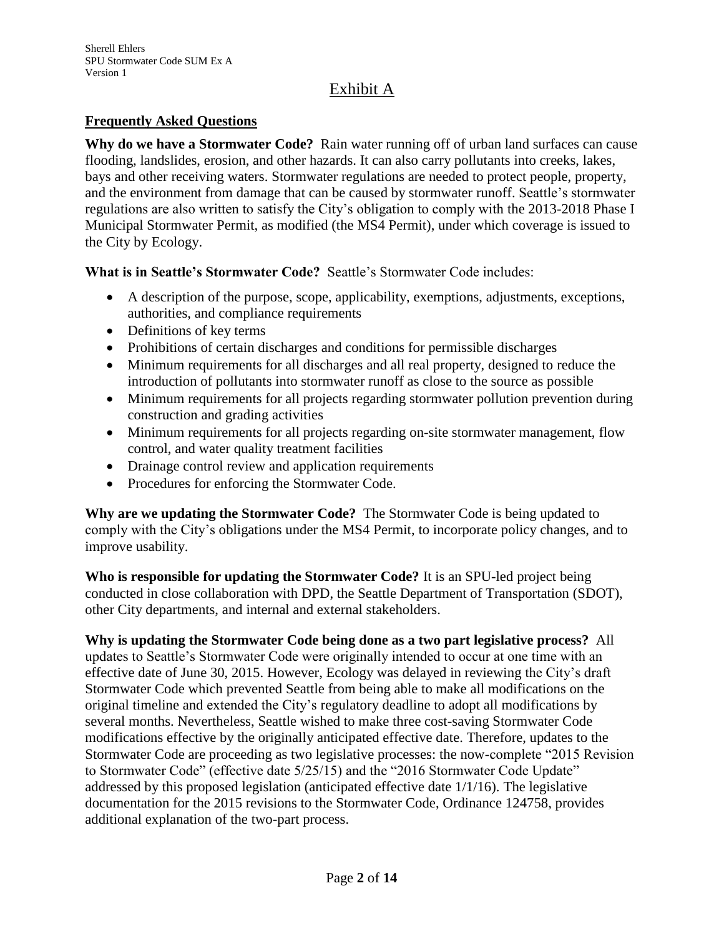### **Frequently Asked Questions**

**Why do we have a Stormwater Code?** Rain water running off of urban land surfaces can cause flooding, landslides, erosion, and other hazards. It can also carry pollutants into creeks, lakes, bays and other receiving waters. Stormwater regulations are needed to protect people, property, and the environment from damage that can be caused by stormwater runoff. Seattle's stormwater regulations are also written to satisfy the City's obligation to comply with the 2013-2018 Phase I Municipal Stormwater Permit, as modified (the MS4 Permit), under which coverage is issued to the City by Ecology.

**What is in Seattle's Stormwater Code?** Seattle's Stormwater Code includes:

- A description of the purpose, scope, applicability, exemptions, adjustments, exceptions, authorities, and compliance requirements
- Definitions of key terms
- Prohibitions of certain discharges and conditions for permissible discharges
- Minimum requirements for all discharges and all real property, designed to reduce the introduction of pollutants into stormwater runoff as close to the source as possible
- Minimum requirements for all projects regarding stormwater pollution prevention during construction and grading activities
- Minimum requirements for all projects regarding on-site stormwater management, flow control, and water quality treatment facilities
- Drainage control review and application requirements
- Procedures for enforcing the Stormwater Code.

**Why are we updating the Stormwater Code?** The Stormwater Code is being updated to comply with the City's obligations under the MS4 Permit, to incorporate policy changes, and to improve usability.

**Who is responsible for updating the Stormwater Code?** It is an SPU-led project being conducted in close collaboration with DPD, the Seattle Department of Transportation (SDOT), other City departments, and internal and external stakeholders.

**Why is updating the Stormwater Code being done as a two part legislative process?** All updates to Seattle's Stormwater Code were originally intended to occur at one time with an effective date of June 30, 2015. However, Ecology was delayed in reviewing the City's draft Stormwater Code which prevented Seattle from being able to make all modifications on the original timeline and extended the City's regulatory deadline to adopt all modifications by several months. Nevertheless, Seattle wished to make three cost-saving Stormwater Code modifications effective by the originally anticipated effective date. Therefore, updates to the Stormwater Code are proceeding as two legislative processes: the now-complete "2015 Revision to Stormwater Code" (effective date 5/25/15) and the "2016 Stormwater Code Update" addressed by this proposed legislation (anticipated effective date 1/1/16). The legislative documentation for the 2015 revisions to the Stormwater Code, Ordinance 124758, provides additional explanation of the two-part process.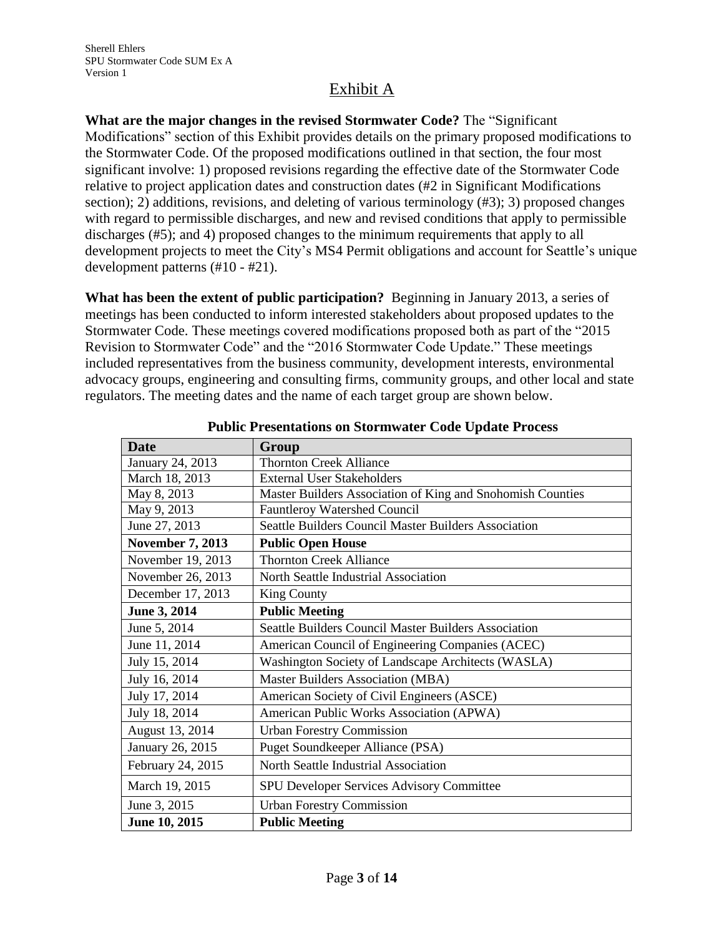**What are the major changes in the revised Stormwater Code?** The "Significant Modifications" section of this Exhibit provides details on the primary proposed modifications to the Stormwater Code. Of the proposed modifications outlined in that section, the four most significant involve: 1) proposed revisions regarding the effective date of the Stormwater Code relative to project application dates and construction dates (#2 in Significant Modifications section); 2) additions, revisions, and deleting of various terminology (#3); 3) proposed changes with regard to permissible discharges, and new and revised conditions that apply to permissible discharges (#5); and 4) proposed changes to the minimum requirements that apply to all development projects to meet the City's MS4 Permit obligations and account for Seattle's unique development patterns (#10 - #21).

**What has been the extent of public participation?** Beginning in January 2013, a series of meetings has been conducted to inform interested stakeholders about proposed updates to the Stormwater Code. These meetings covered modifications proposed both as part of the "2015 Revision to Stormwater Code" and the "2016 Stormwater Code Update." These meetings included representatives from the business community, development interests, environmental advocacy groups, engineering and consulting firms, community groups, and other local and state regulators. The meeting dates and the name of each target group are shown below.

| <b>Date</b>             | Group                                                      |  |  |
|-------------------------|------------------------------------------------------------|--|--|
| January 24, 2013        | <b>Thornton Creek Alliance</b>                             |  |  |
| March 18, 2013          | <b>External User Stakeholders</b>                          |  |  |
| May 8, 2013             | Master Builders Association of King and Snohomish Counties |  |  |
| May 9, 2013             | <b>Fauntleroy Watershed Council</b>                        |  |  |
| June 27, 2013           | Seattle Builders Council Master Builders Association       |  |  |
| <b>November 7, 2013</b> | <b>Public Open House</b>                                   |  |  |
| November 19, 2013       | <b>Thornton Creek Alliance</b>                             |  |  |
| November 26, 2013       | North Seattle Industrial Association                       |  |  |
| December 17, 2013       | <b>King County</b>                                         |  |  |
| June 3, 2014            | <b>Public Meeting</b>                                      |  |  |
| June 5, 2014            | Seattle Builders Council Master Builders Association       |  |  |
| June 11, 2014           | American Council of Engineering Companies (ACEC)           |  |  |
| July 15, 2014           | Washington Society of Landscape Architects (WASLA)         |  |  |
| July 16, 2014           | <b>Master Builders Association (MBA)</b>                   |  |  |
| July 17, 2014           | American Society of Civil Engineers (ASCE)                 |  |  |
| July 18, 2014           | American Public Works Association (APWA)                   |  |  |
| August 13, 2014         | <b>Urban Forestry Commission</b>                           |  |  |
| January 26, 2015        | Puget Soundkeeper Alliance (PSA)                           |  |  |
| February 24, 2015       | North Seattle Industrial Association                       |  |  |
| March 19, 2015          | SPU Developer Services Advisory Committee                  |  |  |
| June 3, 2015            | <b>Urban Forestry Commission</b>                           |  |  |
| June 10, 2015           | <b>Public Meeting</b>                                      |  |  |

**Public Presentations on Stormwater Code Update Process**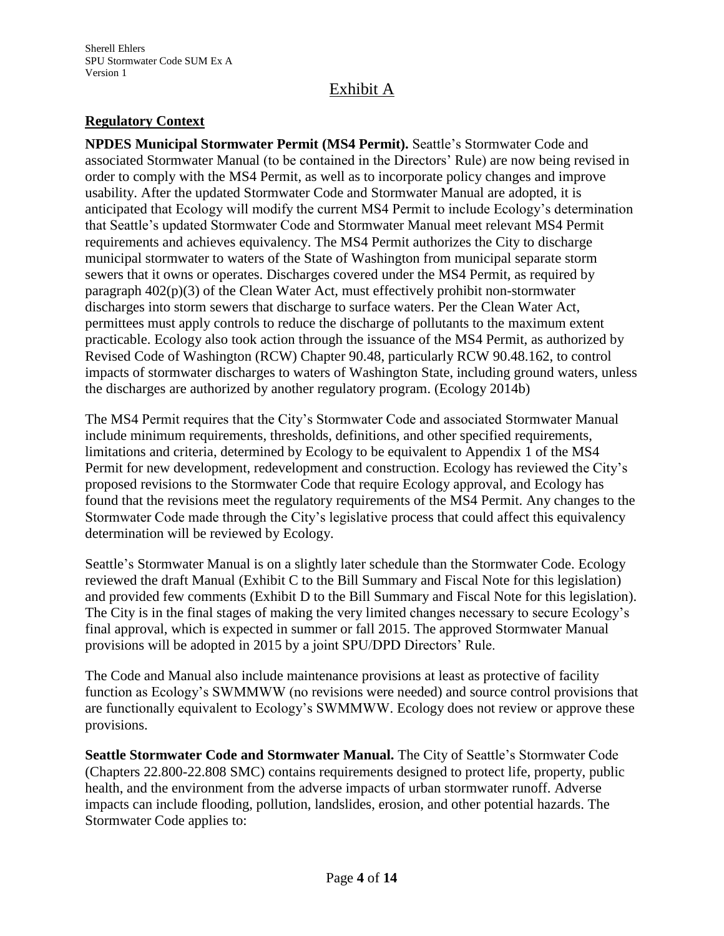## **Regulatory Context**

**NPDES Municipal Stormwater Permit (MS4 Permit).** Seattle's Stormwater Code and associated Stormwater Manual (to be contained in the Directors' Rule) are now being revised in order to comply with the MS4 Permit, as well as to incorporate policy changes and improve usability. After the updated Stormwater Code and Stormwater Manual are adopted, it is anticipated that Ecology will modify the current MS4 Permit to include Ecology's determination that Seattle's updated Stormwater Code and Stormwater Manual meet relevant MS4 Permit requirements and achieves equivalency. The MS4 Permit authorizes the City to discharge municipal stormwater to waters of the State of Washington from municipal separate storm sewers that it owns or operates. Discharges covered under the MS4 Permit, as required by paragraph  $402(p)(3)$  of the Clean Water Act, must effectively prohibit non-stormwater discharges into storm sewers that discharge to surface waters. Per the Clean Water Act, permittees must apply controls to reduce the discharge of pollutants to the maximum extent practicable. Ecology also took action through the issuance of the MS4 Permit, as authorized by Revised Code of Washington (RCW) Chapter 90.48, particularly RCW 90.48.162, to control impacts of stormwater discharges to waters of Washington State, including ground waters, unless the discharges are authorized by another regulatory program. (Ecology 2014b)

The MS4 Permit requires that the City's Stormwater Code and associated Stormwater Manual include minimum requirements, thresholds, definitions, and other specified requirements, limitations and criteria, determined by Ecology to be equivalent to Appendix 1 of the MS4 Permit for new development, redevelopment and construction. Ecology has reviewed the City's proposed revisions to the Stormwater Code that require Ecology approval, and Ecology has found that the revisions meet the regulatory requirements of the MS4 Permit. Any changes to the Stormwater Code made through the City's legislative process that could affect this equivalency determination will be reviewed by Ecology.

Seattle's Stormwater Manual is on a slightly later schedule than the Stormwater Code. Ecology reviewed the draft Manual (Exhibit C to the Bill Summary and Fiscal Note for this legislation) and provided few comments (Exhibit D to the Bill Summary and Fiscal Note for this legislation). The City is in the final stages of making the very limited changes necessary to secure Ecology's final approval, which is expected in summer or fall 2015. The approved Stormwater Manual provisions will be adopted in 2015 by a joint SPU/DPD Directors' Rule.

The Code and Manual also include maintenance provisions at least as protective of facility function as Ecology's SWMMWW (no revisions were needed) and source control provisions that are functionally equivalent to Ecology's SWMMWW. Ecology does not review or approve these provisions.

**Seattle Stormwater Code and Stormwater Manual.** The City of Seattle's Stormwater Code (Chapters 22.800-22.808 SMC) contains requirements designed to protect life, property, public health, and the environment from the adverse impacts of urban stormwater runoff. Adverse impacts can include flooding, pollution, landslides, erosion, and other potential hazards. The Stormwater Code applies to: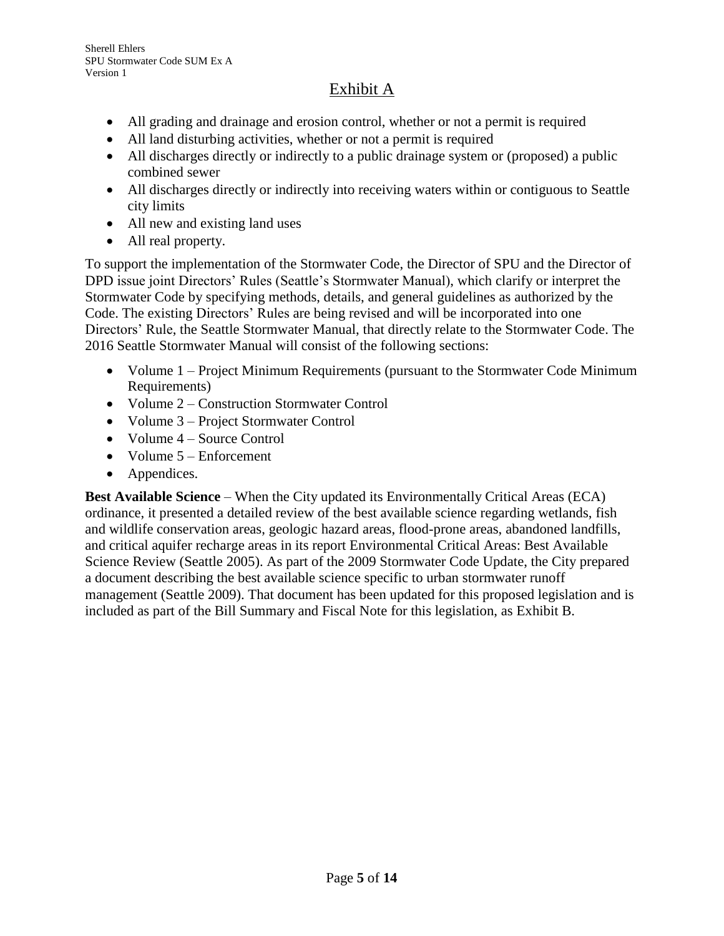- All grading and drainage and erosion control, whether or not a permit is required
- All land disturbing activities, whether or not a permit is required
- All discharges directly or indirectly to a public drainage system or (proposed) a public combined sewer
- All discharges directly or indirectly into receiving waters within or contiguous to Seattle city limits
- All new and existing land uses
- All real property.

To support the implementation of the Stormwater Code, the Director of SPU and the Director of DPD issue joint Directors' Rules (Seattle's Stormwater Manual), which clarify or interpret the Stormwater Code by specifying methods, details, and general guidelines as authorized by the Code. The existing Directors' Rules are being revised and will be incorporated into one Directors' Rule, the Seattle Stormwater Manual, that directly relate to the Stormwater Code. The 2016 Seattle Stormwater Manual will consist of the following sections:

- Volume 1 Project Minimum Requirements (pursuant to the Stormwater Code Minimum Requirements)
- Volume 2 Construction Stormwater Control
- Volume 3 Project Stormwater Control
- Volume 4 Source Control
- Volume 5 Enforcement
- Appendices.

**Best Available Science** – When the City updated its Environmentally Critical Areas (ECA) ordinance, it presented a detailed review of the best available science regarding wetlands, fish and wildlife conservation areas, geologic hazard areas, flood-prone areas, abandoned landfills, and critical aquifer recharge areas in its report Environmental Critical Areas: Best Available Science Review (Seattle 2005). As part of the 2009 Stormwater Code Update, the City prepared a document describing the best available science specific to urban stormwater runoff management (Seattle 2009). That document has been updated for this proposed legislation and is included as part of the Bill Summary and Fiscal Note for this legislation, as Exhibit B.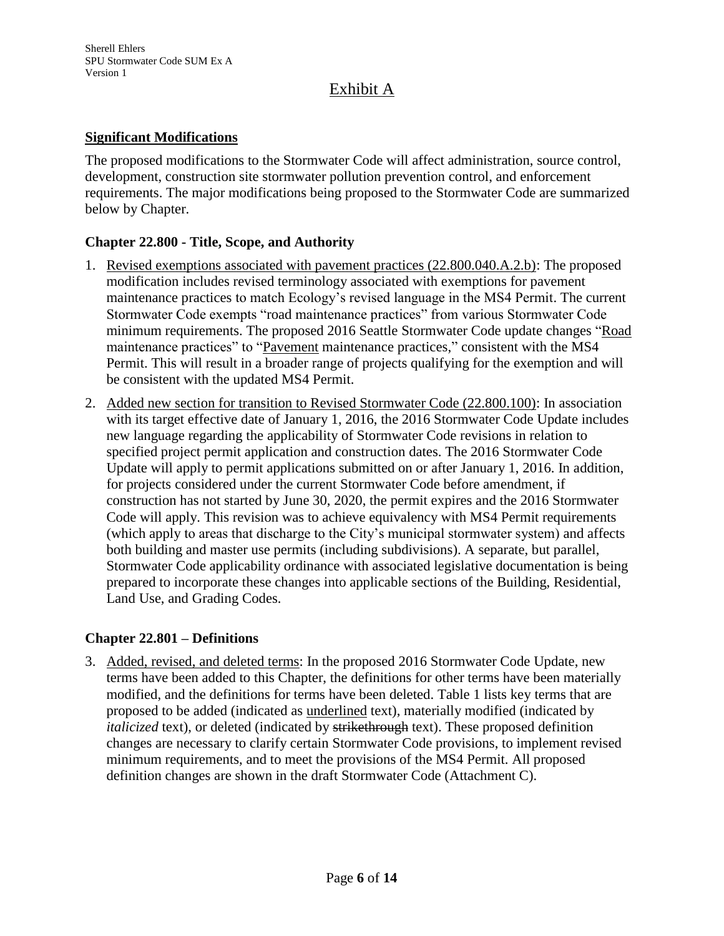### **Significant Modifications**

The proposed modifications to the Stormwater Code will affect administration, source control, development, construction site stormwater pollution prevention control, and enforcement requirements. The major modifications being proposed to the Stormwater Code are summarized below by Chapter.

### **Chapter 22.800 - Title, Scope, and Authority**

- 1. Revised exemptions associated with pavement practices (22.800.040.A.2.b): The proposed modification includes revised terminology associated with exemptions for pavement maintenance practices to match Ecology's revised language in the MS4 Permit. The current Stormwater Code exempts "road maintenance practices" from various Stormwater Code minimum requirements. The proposed 2016 Seattle Stormwater Code update changes "Road maintenance practices" to "Pavement maintenance practices," consistent with the MS4 Permit. This will result in a broader range of projects qualifying for the exemption and will be consistent with the updated MS4 Permit.
- 2. Added new section for transition to Revised Stormwater Code (22.800.100): In association with its target effective date of January 1, 2016, the 2016 Stormwater Code Update includes new language regarding the applicability of Stormwater Code revisions in relation to specified project permit application and construction dates. The 2016 Stormwater Code Update will apply to permit applications submitted on or after January 1, 2016. In addition, for projects considered under the current Stormwater Code before amendment, if construction has not started by June 30, 2020, the permit expires and the 2016 Stormwater Code will apply. This revision was to achieve equivalency with MS4 Permit requirements (which apply to areas that discharge to the City's municipal stormwater system) and affects both building and master use permits (including subdivisions). A separate, but parallel, Stormwater Code applicability ordinance with associated legislative documentation is being prepared to incorporate these changes into applicable sections of the Building, Residential, Land Use, and Grading Codes.

### **Chapter 22.801 – Definitions**

3. Added, revised, and deleted terms: In the proposed 2016 Stormwater Code Update, new terms have been added to this Chapter, the definitions for other terms have been materially modified, and the definitions for terms have been deleted. Table 1 lists key terms that are proposed to be added (indicated as underlined text), materially modified (indicated by *italicized* text), or deleted (indicated by strikethrough text). These proposed definition changes are necessary to clarify certain Stormwater Code provisions, to implement revised minimum requirements, and to meet the provisions of the MS4 Permit. All proposed definition changes are shown in the draft Stormwater Code (Attachment C).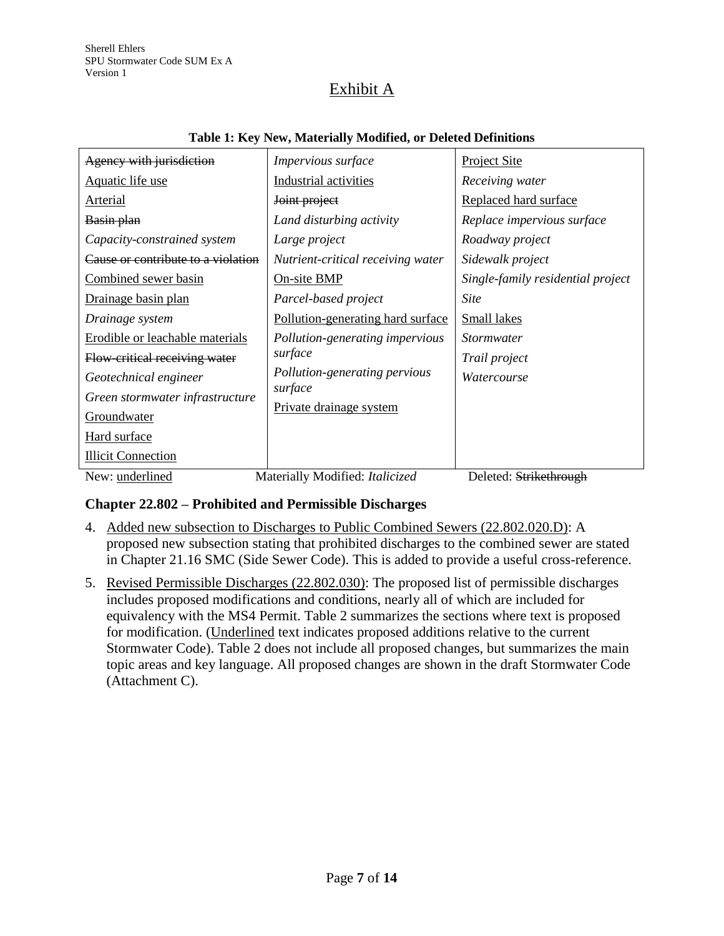| Agency with jurisdiction           | Impervious surface                | <b>Project Site</b>               |
|------------------------------------|-----------------------------------|-----------------------------------|
| Aquatic life use                   | Industrial activities             | Receiving water                   |
| Arterial                           | Joint project                     | Replaced hard surface             |
| Basin plan                         | Land disturbing activity          | Replace impervious surface        |
| Capacity-constrained system        | Large project                     | Roadway project                   |
| Cause or contribute to a violation | Nutrient-critical receiving water | Sidewalk project                  |
| Combined sewer basin               | On-site BMP                       | Single-family residential project |
| Drainage basin plan                | Parcel-based project              | <b>Site</b>                       |
| Drainage system                    | Pollution-generating hard surface | Small lakes                       |
| Erodible or leachable materials    | Pollution-generating impervious   | <i>Stormwater</i>                 |
| Flow-critical receiving water      | surface                           | Trail project                     |
| Geotechnical engineer              | Pollution-generating pervious     | Watercourse                       |
| Green stormwater infrastructure    | surface                           |                                   |
| Groundwater                        | Private drainage system           |                                   |
| Hard surface                       |                                   |                                   |
| <b>Illicit Connection</b>          |                                   |                                   |
| New: underlined                    | Materially Modified: Italicized   | Deleted: Strikethrough            |

#### **Table 1: Key New, Materially Modified, or Deleted Definitions**

## **Chapter 22.802 – Prohibited and Permissible Discharges**

- 4. Added new subsection to Discharges to Public Combined Sewers (22.802.020.D): A proposed new subsection stating that prohibited discharges to the combined sewer are stated in Chapter 21.16 SMC (Side Sewer Code). This is added to provide a useful cross-reference.
- 5. Revised Permissible Discharges (22.802.030): The proposed list of permissible discharges includes proposed modifications and conditions, nearly all of which are included for equivalency with the MS4 Permit. Table 2 summarizes the sections where text is proposed for modification. (Underlined text indicates proposed additions relative to the current Stormwater Code). Table 2 does not include all proposed changes, but summarizes the main topic areas and key language. All proposed changes are shown in the draft Stormwater Code (Attachment C).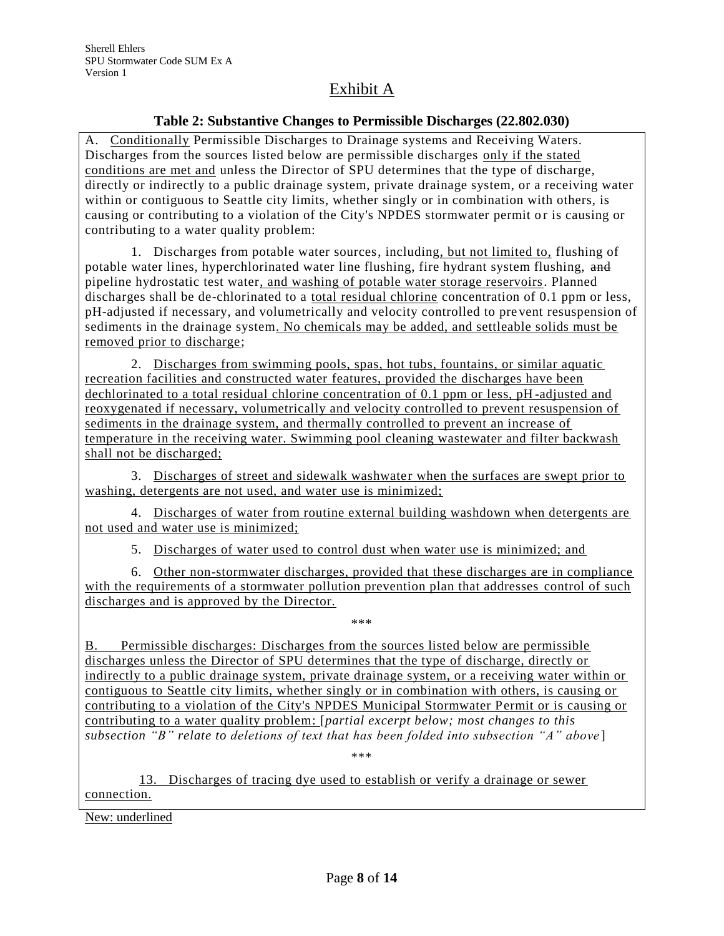#### **Table 2: Substantive Changes to Permissible Discharges (22.802.030)**

A. Conditionally Permissible Discharges to Drainage systems and Receiving Waters. Discharges from the sources listed below are permissible discharges only if the stated conditions are met and unless the Director of SPU determines that the type of discharge, directly or indirectly to a public drainage system, private drainage system, or a receiving water within or contiguous to Seattle city limits, whether singly or in combination with others, is causing or contributing to a violation of the City's NPDES stormwater permit or is causing or contributing to a water quality problem:

 1. Discharges from potable water sources, including, but not limited to, flushing of potable water lines, hyperchlorinated water line flushing, fire hydrant system flushing, and pipeline hydrostatic test water, and washing of potable water storage reservoirs. Planned discharges shall be de-chlorinated to a total residual chlorine concentration of 0.1 ppm or less, pH-adjusted if necessary, and volumetrically and velocity controlled to pre vent resuspension of sediments in the drainage system. No chemicals may be added, and settleable solids must be removed prior to discharge;

 2. Discharges from swimming pools, spas, hot tubs, fountains, or similar aquatic recreation facilities and constructed water features, provided the discharges have been dechlorinated to a total residual chlorine concentration of 0.1 ppm or less, pH -adjusted and reoxygenated if necessary, volumetrically and velocity controlled to prevent resuspension of sediments in the drainage system, and thermally controlled to prevent an increase of temperature in the receiving water. Swimming pool cleaning wastewater and filter backwash shall not be discharged;

 3. Discharges of street and sidewalk washwater when the surfaces are swept prior to washing, detergents are not used, and water use is minimized;

 4. Discharges of water from routine external building washdown when detergents are not used and water use is minimized;

5. Discharges of water used to control dust when water use is minimized; and

 6. Other non-stormwater discharges, provided that these discharges are in compliance with the requirements of a stormwater pollution prevention plan that addresses control of such discharges and is approved by the Director.

\*\*\*

B. Permissible discharges: Discharges from the sources listed below are permissible discharges unless the Director of SPU determines that the type of discharge, directly or indirectly to a public drainage system, private drainage system, or a receiving water within or contiguous to Seattle city limits, whether singly or in combination with others, is causing or contributing to a violation of the City's NPDES Municipal Stormwater Permit or is causing or contributing to a water quality problem: [*partial excerpt below; most changes to this subsection "B" relate to deletions of text that has been folded into subsection "A" above* ]

\*\*\*

13. Discharges of tracing dye used to establish or verify a drainage or sewer connection.

New: underlined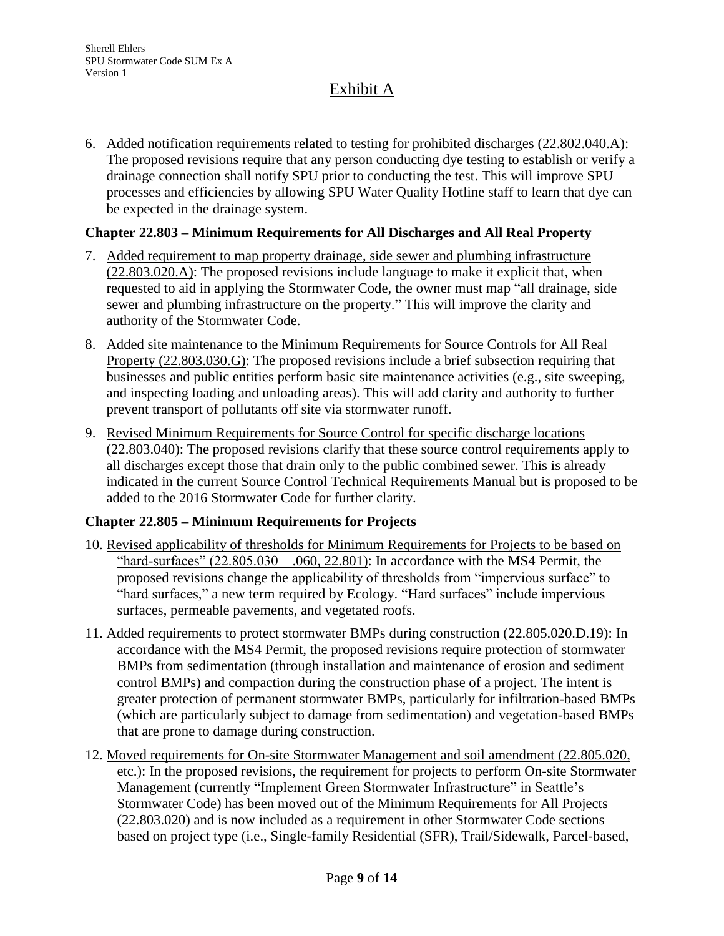6. Added notification requirements related to testing for prohibited discharges (22.802.040.A): The proposed revisions require that any person conducting dye testing to establish or verify a drainage connection shall notify SPU prior to conducting the test. This will improve SPU processes and efficiencies by allowing SPU Water Quality Hotline staff to learn that dye can be expected in the drainage system.

### **Chapter 22.803 – Minimum Requirements for All Discharges and All Real Property**

- 7. Added requirement to map property drainage, side sewer and plumbing infrastructure (22.803.020.A): The proposed revisions include language to make it explicit that, when requested to aid in applying the Stormwater Code, the owner must map "all drainage, side sewer and plumbing infrastructure on the property." This will improve the clarity and authority of the Stormwater Code.
- 8. Added site maintenance to the Minimum Requirements for Source Controls for All Real Property (22.803.030.G): The proposed revisions include a brief subsection requiring that businesses and public entities perform basic site maintenance activities (e.g., site sweeping, and inspecting loading and unloading areas). This will add clarity and authority to further prevent transport of pollutants off site via stormwater runoff.
- 9. Revised Minimum Requirements for Source Control for specific discharge locations (22.803.040): The proposed revisions clarify that these source control requirements apply to all discharges except those that drain only to the public combined sewer. This is already indicated in the current Source Control Technical Requirements Manual but is proposed to be added to the 2016 Stormwater Code for further clarity.

#### **Chapter 22.805 – Minimum Requirements for Projects**

- 10. Revised applicability of thresholds for Minimum Requirements for Projects to be based on "hard-surfaces"  $(22.805.030 - .060, 22.801)$ : In accordance with the MS4 Permit, the proposed revisions change the applicability of thresholds from "impervious surface" to "hard surfaces," a new term required by Ecology. "Hard surfaces" include impervious surfaces, permeable pavements, and vegetated roofs.
- 11. Added requirements to protect stormwater BMPs during construction (22.805.020.D.19): In accordance with the MS4 Permit, the proposed revisions require protection of stormwater BMPs from sedimentation (through installation and maintenance of erosion and sediment control BMPs) and compaction during the construction phase of a project. The intent is greater protection of permanent stormwater BMPs, particularly for infiltration-based BMPs (which are particularly subject to damage from sedimentation) and vegetation-based BMPs that are prone to damage during construction.
- 12. Moved requirements for On-site Stormwater Management and soil amendment (22.805.020, etc.): In the proposed revisions, the requirement for projects to perform On-site Stormwater Management (currently "Implement Green Stormwater Infrastructure" in Seattle's Stormwater Code) has been moved out of the Minimum Requirements for All Projects (22.803.020) and is now included as a requirement in other Stormwater Code sections based on project type (i.e., Single-family Residential (SFR), Trail/Sidewalk, Parcel-based,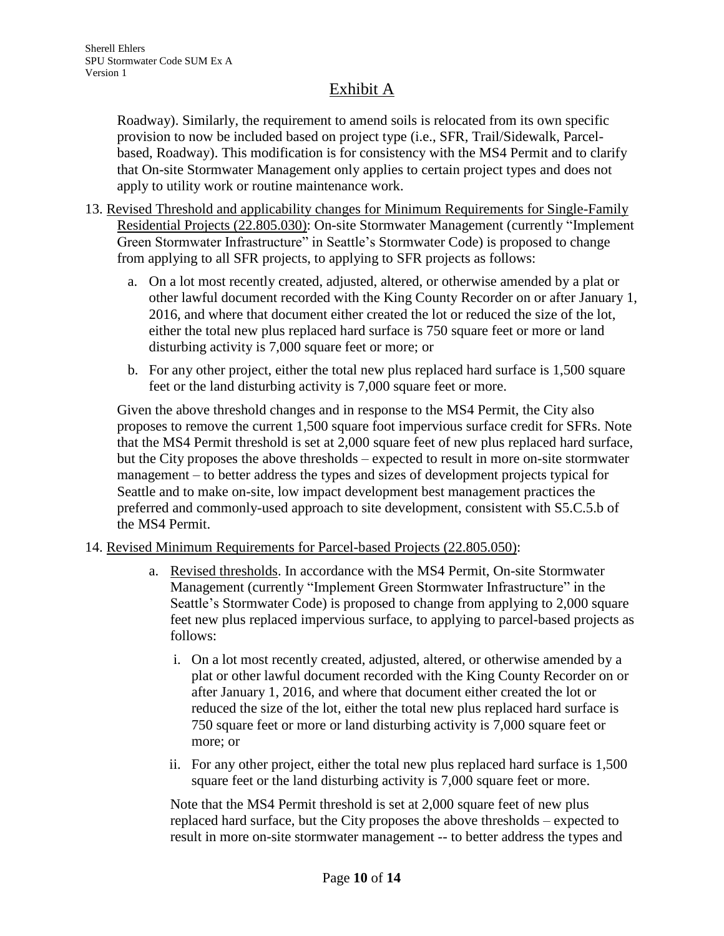Roadway). Similarly, the requirement to amend soils is relocated from its own specific provision to now be included based on project type (i.e., SFR, Trail/Sidewalk, Parcelbased, Roadway). This modification is for consistency with the MS4 Permit and to clarify that On-site Stormwater Management only applies to certain project types and does not apply to utility work or routine maintenance work.

- 13. Revised Threshold and applicability changes for Minimum Requirements for Single-Family Residential Projects (22.805.030): On-site Stormwater Management (currently "Implement Green Stormwater Infrastructure" in Seattle's Stormwater Code) is proposed to change from applying to all SFR projects, to applying to SFR projects as follows:
	- a. On a lot most recently created, adjusted, altered, or otherwise amended by a plat or other lawful document recorded with the King County Recorder on or after January 1, 2016, and where that document either created the lot or reduced the size of the lot, either the total new plus replaced hard surface is 750 square feet or more or land disturbing activity is 7,000 square feet or more; or
	- b. For any other project, either the total new plus replaced hard surface is 1,500 square feet or the land disturbing activity is 7,000 square feet or more.

Given the above threshold changes and in response to the MS4 Permit, the City also proposes to remove the current 1,500 square foot impervious surface credit for SFRs. Note that the MS4 Permit threshold is set at 2,000 square feet of new plus replaced hard surface, but the City proposes the above thresholds – expected to result in more on-site stormwater management – to better address the types and sizes of development projects typical for Seattle and to make on-site, low impact development best management practices the preferred and commonly-used approach to site development, consistent with S5.C.5.b of the MS4 Permit.

### 14. Revised Minimum Requirements for Parcel-based Projects (22.805.050):

- a. Revised thresholds. In accordance with the MS4 Permit, On-site Stormwater Management (currently "Implement Green Stormwater Infrastructure" in the Seattle's Stormwater Code) is proposed to change from applying to 2,000 square feet new plus replaced impervious surface, to applying to parcel-based projects as follows:
	- i. On a lot most recently created, adjusted, altered, or otherwise amended by a plat or other lawful document recorded with the King County Recorder on or after January 1, 2016, and where that document either created the lot or reduced the size of the lot, either the total new plus replaced hard surface is 750 square feet or more or land disturbing activity is 7,000 square feet or more; or
	- ii. For any other project, either the total new plus replaced hard surface is 1,500 square feet or the land disturbing activity is 7,000 square feet or more.

Note that the MS4 Permit threshold is set at 2,000 square feet of new plus replaced hard surface, but the City proposes the above thresholds – expected to result in more on-site stormwater management -- to better address the types and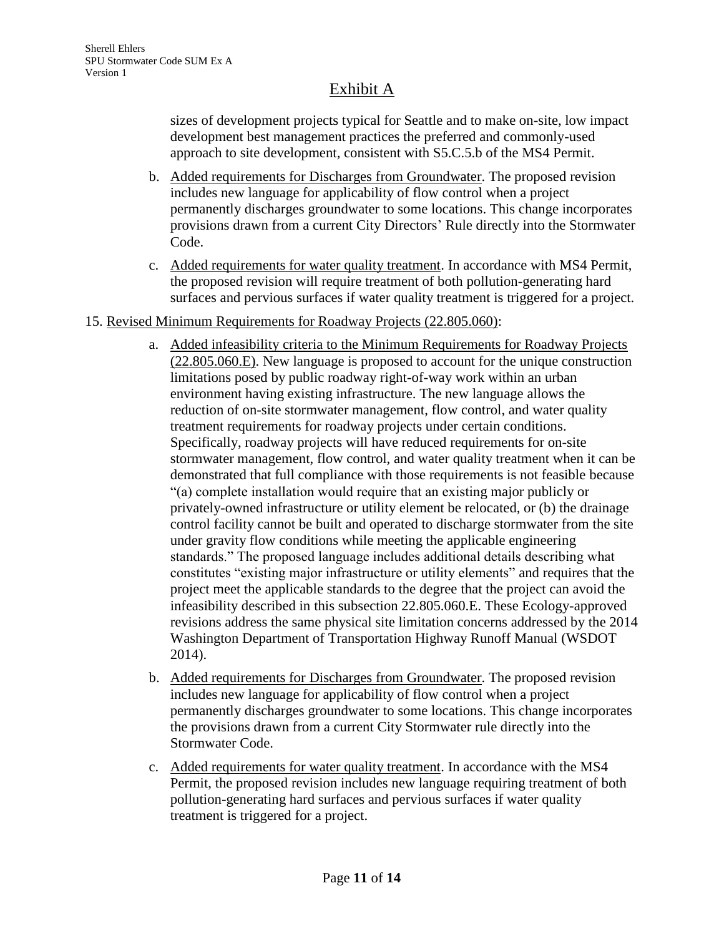sizes of development projects typical for Seattle and to make on-site, low impact development best management practices the preferred and commonly-used approach to site development, consistent with S5.C.5.b of the MS4 Permit.

- b. Added requirements for Discharges from Groundwater. The proposed revision includes new language for applicability of flow control when a project permanently discharges groundwater to some locations. This change incorporates provisions drawn from a current City Directors' Rule directly into the Stormwater Code.
- c. Added requirements for water quality treatment. In accordance with MS4 Permit, the proposed revision will require treatment of both pollution-generating hard surfaces and pervious surfaces if water quality treatment is triggered for a project.
- 15. Revised Minimum Requirements for Roadway Projects (22.805.060):
	- a. Added infeasibility criteria to the Minimum Requirements for Roadway Projects (22.805.060.E). New language is proposed to account for the unique construction limitations posed by public roadway right-of-way work within an urban environment having existing infrastructure. The new language allows the reduction of on-site stormwater management, flow control, and water quality treatment requirements for roadway projects under certain conditions. Specifically, roadway projects will have reduced requirements for on-site stormwater management, flow control, and water quality treatment when it can be demonstrated that full compliance with those requirements is not feasible because "(a) complete installation would require that an existing major publicly or privately-owned infrastructure or utility element be relocated, or (b) the drainage control facility cannot be built and operated to discharge stormwater from the site under gravity flow conditions while meeting the applicable engineering standards." The proposed language includes additional details describing what constitutes "existing major infrastructure or utility elements" and requires that the project meet the applicable standards to the degree that the project can avoid the infeasibility described in this subsection 22.805.060.E. These Ecology-approved revisions address the same physical site limitation concerns addressed by the 2014 Washington Department of Transportation Highway Runoff Manual (WSDOT 2014).
	- b. Added requirements for Discharges from Groundwater. The proposed revision includes new language for applicability of flow control when a project permanently discharges groundwater to some locations. This change incorporates the provisions drawn from a current City Stormwater rule directly into the Stormwater Code.
	- c. Added requirements for water quality treatment. In accordance with the MS4 Permit, the proposed revision includes new language requiring treatment of both pollution-generating hard surfaces and pervious surfaces if water quality treatment is triggered for a project.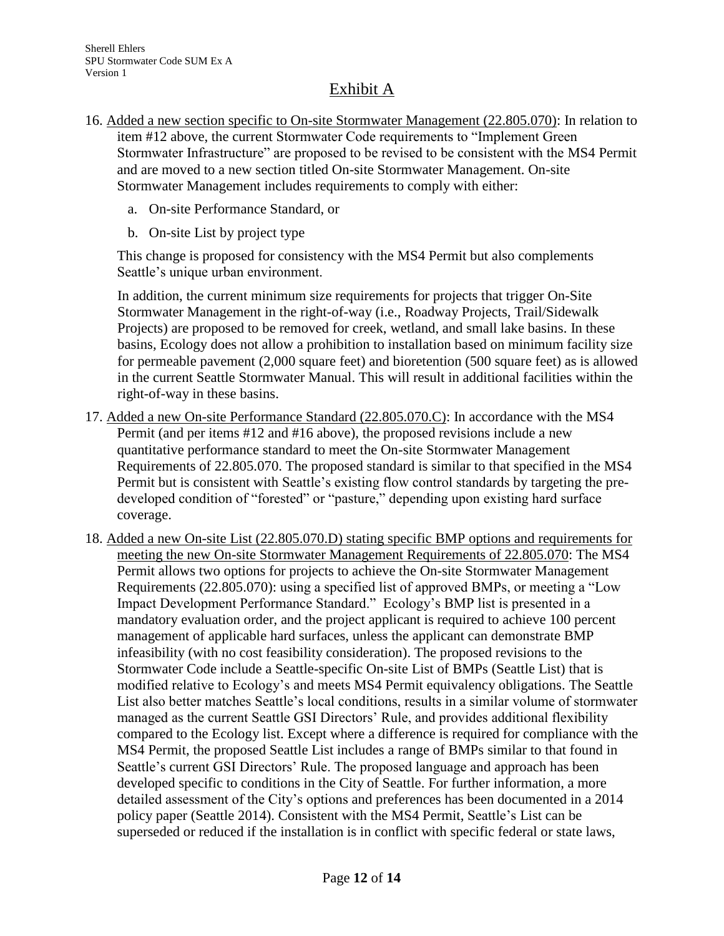- 16. Added a new section specific to On-site Stormwater Management (22.805.070): In relation to item #12 above, the current Stormwater Code requirements to "Implement Green Stormwater Infrastructure" are proposed to be revised to be consistent with the MS4 Permit and are moved to a new section titled On-site Stormwater Management. On-site Stormwater Management includes requirements to comply with either:
	- a. On-site Performance Standard, or
	- b. On-site List by project type

This change is proposed for consistency with the MS4 Permit but also complements Seattle's unique urban environment.

In addition, the current minimum size requirements for projects that trigger On-Site Stormwater Management in the right-of-way (i.e., Roadway Projects, Trail/Sidewalk Projects) are proposed to be removed for creek, wetland, and small lake basins. In these basins, Ecology does not allow a prohibition to installation based on minimum facility size for permeable pavement (2,000 square feet) and bioretention (500 square feet) as is allowed in the current Seattle Stormwater Manual. This will result in additional facilities within the right-of-way in these basins.

- 17. Added a new On-site Performance Standard (22.805.070.C): In accordance with the MS4 Permit (and per items #12 and #16 above), the proposed revisions include a new quantitative performance standard to meet the On-site Stormwater Management Requirements of 22.805.070. The proposed standard is similar to that specified in the MS4 Permit but is consistent with Seattle's existing flow control standards by targeting the predeveloped condition of "forested" or "pasture," depending upon existing hard surface coverage.
- 18. Added a new On-site List (22.805.070.D) stating specific BMP options and requirements for meeting the new On-site Stormwater Management Requirements of 22.805.070: The MS4 Permit allows two options for projects to achieve the On-site Stormwater Management Requirements (22.805.070): using a specified list of approved BMPs, or meeting a "Low Impact Development Performance Standard." Ecology's BMP list is presented in a mandatory evaluation order, and the project applicant is required to achieve 100 percent management of applicable hard surfaces, unless the applicant can demonstrate BMP infeasibility (with no cost feasibility consideration). The proposed revisions to the Stormwater Code include a Seattle-specific On-site List of BMPs (Seattle List) that is modified relative to Ecology's and meets MS4 Permit equivalency obligations. The Seattle List also better matches Seattle's local conditions, results in a similar volume of stormwater managed as the current Seattle GSI Directors' Rule, and provides additional flexibility compared to the Ecology list. Except where a difference is required for compliance with the MS4 Permit, the proposed Seattle List includes a range of BMPs similar to that found in Seattle's current GSI Directors' Rule. The proposed language and approach has been developed specific to conditions in the City of Seattle. For further information, a more detailed assessment of the City's options and preferences has been documented in a 2014 policy paper (Seattle 2014). Consistent with the MS4 Permit, Seattle's List can be superseded or reduced if the installation is in conflict with specific federal or state laws,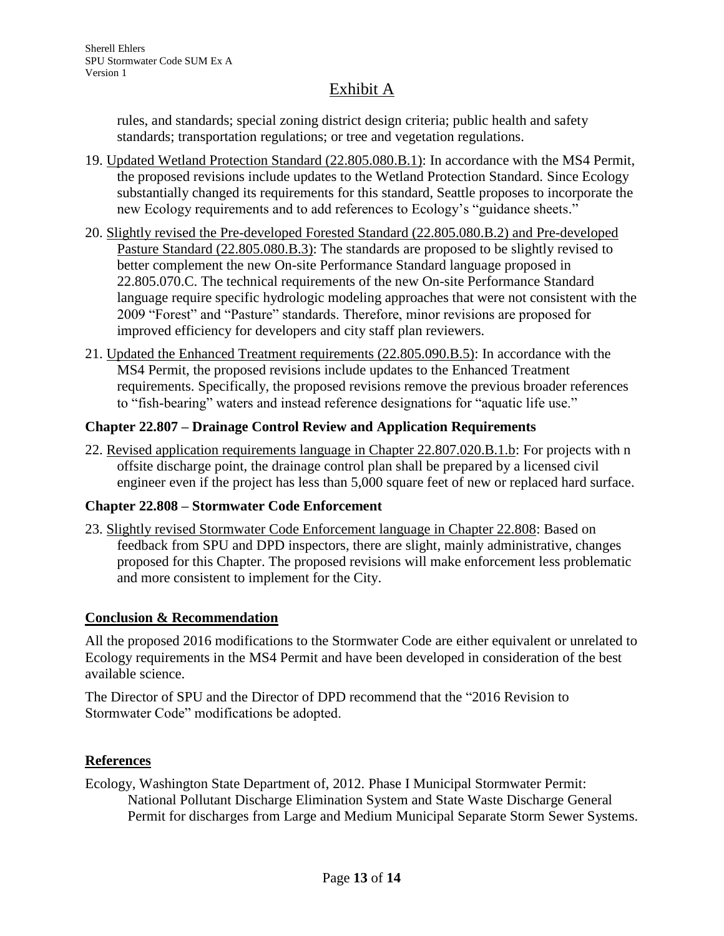rules, and standards; special zoning district design criteria; public health and safety standards; transportation regulations; or tree and vegetation regulations.

- 19. Updated Wetland Protection Standard (22.805.080.B.1): In accordance with the MS4 Permit, the proposed revisions include updates to the Wetland Protection Standard. Since Ecology substantially changed its requirements for this standard, Seattle proposes to incorporate the new Ecology requirements and to add references to Ecology's "guidance sheets."
- 20. Slightly revised the Pre-developed Forested Standard (22.805.080.B.2) and Pre-developed Pasture Standard (22.805.080.B.3): The standards are proposed to be slightly revised to better complement the new On-site Performance Standard language proposed in 22.805.070.C. The technical requirements of the new On-site Performance Standard language require specific hydrologic modeling approaches that were not consistent with the 2009 "Forest" and "Pasture" standards. Therefore, minor revisions are proposed for improved efficiency for developers and city staff plan reviewers.
- 21. Updated the Enhanced Treatment requirements (22.805.090.B.5): In accordance with the MS4 Permit, the proposed revisions include updates to the Enhanced Treatment requirements. Specifically, the proposed revisions remove the previous broader references to "fish-bearing" waters and instead reference designations for "aquatic life use."

### **Chapter 22.807 – Drainage Control Review and Application Requirements**

22. Revised application requirements language in Chapter 22.807.020.B.1.b: For projects with n offsite discharge point, the drainage control plan shall be prepared by a licensed civil engineer even if the project has less than 5,000 square feet of new or replaced hard surface.

### **Chapter 22.808 – Stormwater Code Enforcement**

23. Slightly revised Stormwater Code Enforcement language in Chapter 22.808: Based on feedback from SPU and DPD inspectors, there are slight, mainly administrative, changes proposed for this Chapter. The proposed revisions will make enforcement less problematic and more consistent to implement for the City.

### **Conclusion & Recommendation**

All the proposed 2016 modifications to the Stormwater Code are either equivalent or unrelated to Ecology requirements in the MS4 Permit and have been developed in consideration of the best available science.

The Director of SPU and the Director of DPD recommend that the "2016 Revision to Stormwater Code" modifications be adopted.

### **References**

Ecology, Washington State Department of, 2012. Phase I Municipal Stormwater Permit: National Pollutant Discharge Elimination System and State Waste Discharge General Permit for discharges from Large and Medium Municipal Separate Storm Sewer Systems.